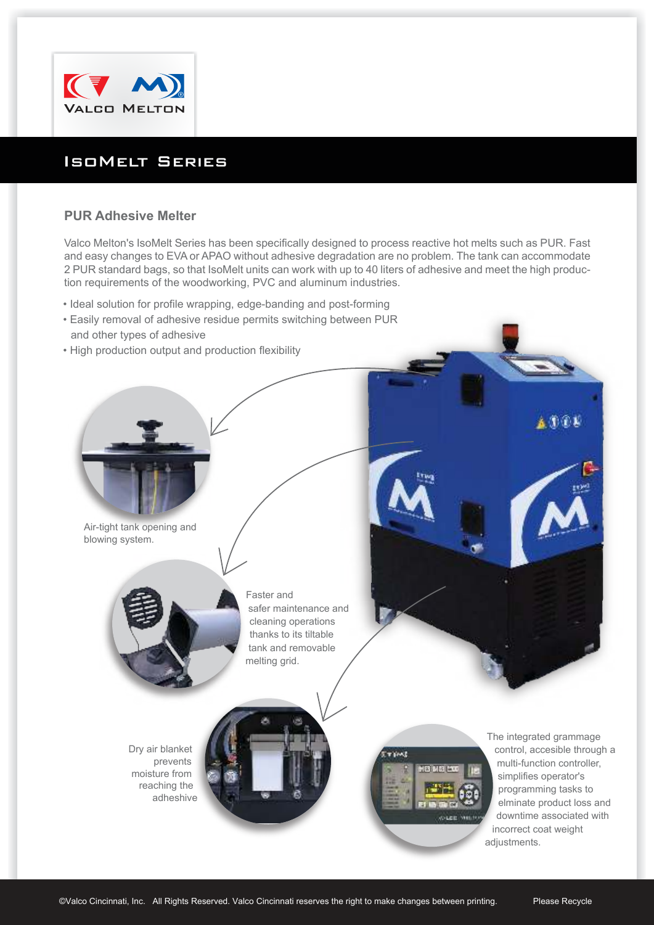

## IsoMelt Series

## **PUR Adhesive Melter**

Valco Melton's IsoMelt Series has been specifically designed to process reactive hot melts such as PUR. Fast and easy changes to EVA or APAO without adhesive degradation are no problem. The tank can accommodate 2 PUR standard bags, so that IsoMelt units can work with up to 40 liters of adhesive and meet the high production requirements of the woodworking, PVC and aluminum industries.

- Ideal solution for profile wrapping, edge-banding and post-forming
- Easily removal of adhesive residue permits switching between PUR and other types of adhesive
- High production output and production flexibility



adjustments.